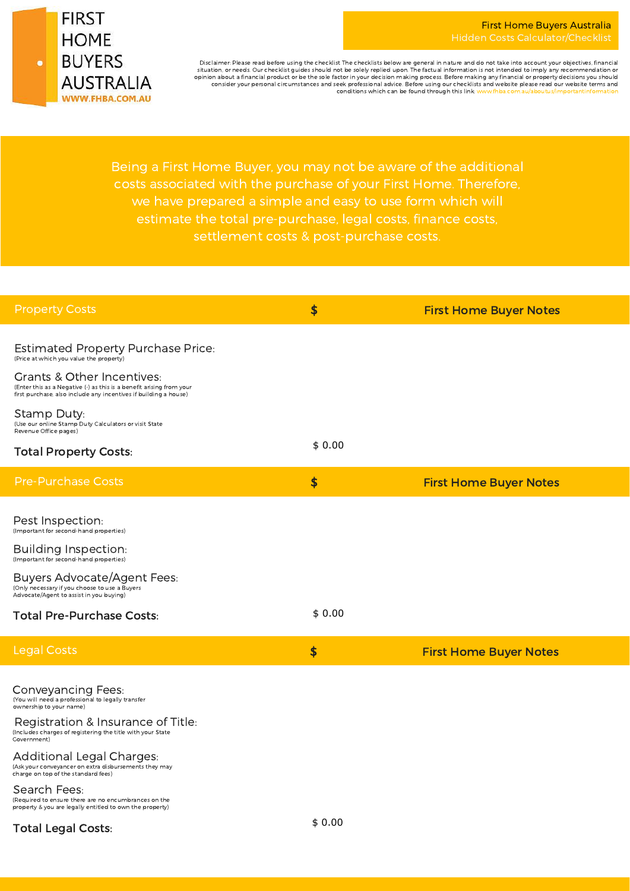

Disclaimer: Please read before using the checklist The checklists below are general in nature and do not take into account your objectives, financial situation, or needs. Our checklist guides should not be solely replied upon. The factual information is not intended to imply any recommendation or<br>opinion about a financial product or be the sole factor in your decision m consider your personal circumstances and seek professional advice. Before using our checklists and website please read our website terms and<br>conditions which can be found through this link: www.fhba.com.au/aboutus/importan conditions which can be found through this link: ww

Being a First Home Buyer, you may not be aware of the additional we have prepared a simple and easy to use form which will estimate the total pre-purchase, legal costs, finance costs,

| <b>Property Costs</b>                                                                                                                                                                                                        | \$                  | <b>First Home Buyer Notes</b> |
|------------------------------------------------------------------------------------------------------------------------------------------------------------------------------------------------------------------------------|---------------------|-------------------------------|
| <b>Estimated Property Purchase Price:</b><br>(Price at which you value the property)                                                                                                                                         |                     |                               |
| Grants & Other Incentives:<br>(Enter this as a Negative (-) as this is a benefit arising from your<br>first purchase, also include any incentives if building a house)                                                       |                     |                               |
| Stamp Duty:<br>(Use our online Stamp Duty Calculators or visit State<br>Revenue Office pages)                                                                                                                                |                     |                               |
| <b>Total Property Costs:</b>                                                                                                                                                                                                 | \$0.00              |                               |
| <b>Pre-Purchase Costs</b>                                                                                                                                                                                                    | \$                  | <b>First Home Buyer Notes</b> |
| Pest Inspection:<br>(Important for second-hand properties)                                                                                                                                                                   |                     |                               |
| Building Inspection:<br>(Important for second-hand properties)                                                                                                                                                               |                     |                               |
| <b>Buyers Advocate/Agent Fees:</b><br>(Only necessary if you choose to use a Buyers<br>Advocate/Agent to assist in you buying)                                                                                               |                     |                               |
| <b>Total Pre-Purchase Costs:</b>                                                                                                                                                                                             | \$0.00              |                               |
| <b>Legal Costs</b>                                                                                                                                                                                                           | $\boldsymbol{\phi}$ | <b>First Home Buyer Notes</b> |
| <b>Conveyancing Fees:</b><br>(You will need a professional to legally transfer<br>ownership to your name)<br>Registration & Insurance of Title:<br>(Includes charges of registering the title with your State<br>Covernment) |                     |                               |
| <b>Additional Legal Charges:</b><br>(Ask your conveyancer on extra disbursements they may<br>charge on top of the standard fees)                                                                                             |                     |                               |
| Search Fees:<br>(Required to ensure there are no encumbrances on the<br>property & you are legally entitled to own the property)                                                                                             |                     |                               |
| <b>Total Legal Costs:</b>                                                                                                                                                                                                    | \$0.00              |                               |